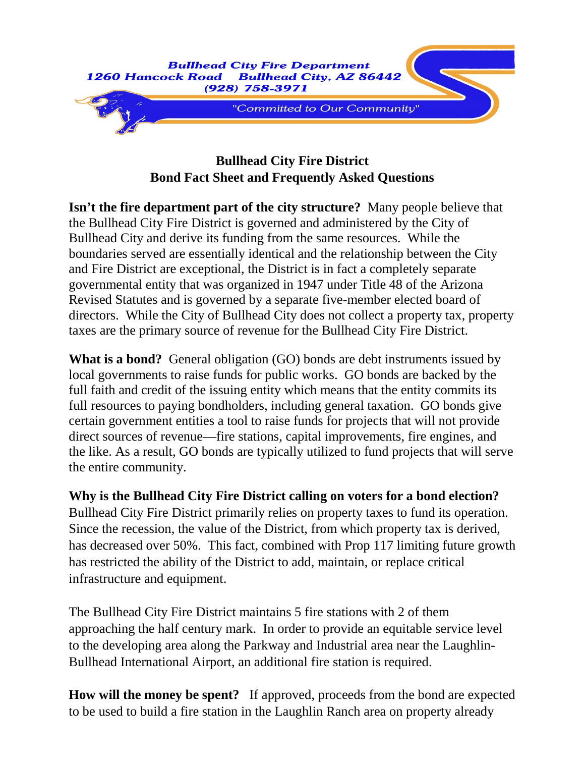

## **Bullhead City Fire District Bond Fact Sheet and Frequently Asked Questions**

**Isn't the fire department part of the city structure?** Many people believe that the Bullhead City Fire District is governed and administered by the City of Bullhead City and derive its funding from the same resources. While the boundaries served are essentially identical and the relationship between the City and Fire District are exceptional, the District is in fact a completely separate governmental entity that was organized in 1947 under Title 48 of the Arizona Revised Statutes and is governed by a separate five-member elected board of directors. While the City of Bullhead City does not collect a property tax, property taxes are the primary source of revenue for the Bullhead City Fire District.

**What is a bond?** General obligation (GO) bonds are debt instruments issued by local governments to raise funds for public works. GO bonds are backed by the full faith and credit of the issuing entity which means that the entity commits its full resources to paying bondholders, including general taxation. GO bonds give certain government entities a tool to raise funds for projects that will not provide direct sources of revenue—fire stations, capital improvements, fire engines, and the like. As a result, GO bonds are typically utilized to fund projects that will serve the entire community.

**Why is the Bullhead City Fire District calling on voters for a bond election?** Bullhead City Fire District primarily relies on property taxes to fund its operation. Since the recession, the value of the District, from which property tax is derived, has decreased over 50%. This fact, combined with Prop 117 limiting future growth has restricted the ability of the District to add, maintain, or replace critical infrastructure and equipment.

The Bullhead City Fire District maintains 5 fire stations with 2 of them approaching the half century mark. In order to provide an equitable service level to the developing area along the Parkway and Industrial area near the Laughlin-Bullhead International Airport, an additional fire station is required.

**How will the money be spent?** If approved, proceeds from the bond are expected to be used to build a fire station in the Laughlin Ranch area on property already